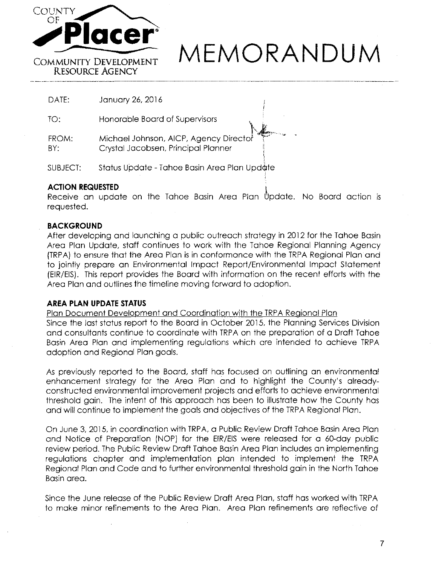

# **MEMORANDUM**

l,i

DATE: January 26, 2016

Honorable Board of Supervisors TO:

FROM: Michael Johnson, AICP, Agency Director BY: Crystal Jacobsen, Principal Planner

SUBJECT: Status Update - Tahoe Basin Area Plan Update

# **ACTION REQUESTED** l

Receive an update on the Tahoe Basin Area Plan Update. No Board action is requested.

# **BACKGROUND**

After developing and launching a public outreach strategy in 2012 for the Tahoe Basin Area Plan Update, staff continues to work with the Tahoe Regional Planning Agency (TRPA) to ensure that the Area Plan is in conformance with the TRPA Regional Plan and to jointly prepare an Environmental Impact Report/Environmental Impact Statement (EIR/EIS). This report provides the Board with information on the recent efforts with the Area Plan and outlines the timeline moving forward to adoption.

# **AREA PLAN UPDATE STATUS**

Plan Document Development and Coordination with the TRPA Regional Plan Since the last status report to the Board in October 2015, the Planning Services Division

and consultants continue to coordinate with TRPA on the preparation of a Draft Tahoe Basin Area Plan and implementing regulations which are intended to achieve TRPA adoption and Regional Plan goals.

As previously reported to the Board, staff has focused on outlining an environmental enhancement strategy for the Area Plan and to highlight the County's alreadyconstructed environmental improvement projects and efforts to achieve environmental threshold gain. The intent of this approach has been to illustrate how the County has and will continue to implement the goals and objectives of the TRPA Regional Plan.

On June 3, 2015, in coordination with TRPA, a Public Review Draft Tahoe Basin Area Plan and Notice of Preparation (NOP) for the EIR/EIS were released for a 60-day public review period. The Public Review Draft Tahoe Basin Area Plan includes an implementing regulations chapter and implementation plan intended to implement the TRPA Regional Plan and Code and to further environmental threshold gain in the North Tahoe Basin area.

Since the June release of the Public Review Draft Area Plan, staff has worked with TRPA to make minor refinements to the Area Plan. Area Plan refinements are reflective of

7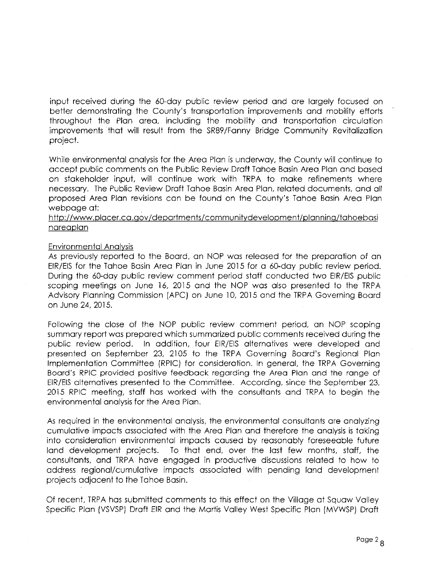input received during the 60-day public review period and are largely focused on better demonstrating the County's transportation improvements and mobility efforts throughout the Plan area, including the mobility and transportation circulation improvements that will result from the SR89/Fanny Bridge Community Revitalization project.

While environmental analysis for the Area Plan is underway, the County will continue to accept public comments on the Public Review Draft Tahoe Basin Area Plan and based on stakeholder input, will continue work with TRPA to make refinements where necessary. The Public Review Draft Tahoe Basin Area Plan, related documents, and all proposed Area Plan revisions can be found on the County's Tahoe Basin Area Plan webpage at:

# http://www.placer.ca.gov/departments/communitydevelopment/planning/tahoebasi nareaplan

#### Environmental Analysis

As previously reported to the Board, an NOP was released for the preparation of an EIR/EIS for the Tahoe Basin Area Plan in June 2015 for a 60-day public review period. During the 60-day public review comment period staff conducted two EIR/EIS public scoping meetings on June 16, 2015 and the NOP was also presented to the TRPA Advisory Planning Commission [APC) on June 10, 2015 and the TRPA Governing Board on June 24, 2015.

Following the close of the NOP public review comment period, an NOP scoping summary report was prepared which summarized public comments received during the public review period. In addition, four EIR/EIS alternatives were developed and presented on September 23, 2105 to the TRPA Governing Board's Regional Plan Implementation Committee [RPIC) for consideration. In general, the TRPA Governing Board's RPIC provided positive feedback regarding the Area Plan and the range of EIR/EIS alternatives presented to the Committee. According, since the September 23, 2015 RPIC meeting, staff has worked with the consultants and TRPA to begin the environmental analysis for the Area Plan.

As required in the environmental analysis, the environmental consultants are analyzing cumulative impacts associated with the Area Plan and therefore the analysis is taking into consideration environmental impacts caused by reasonably foreseeable future land development projects. To that end, over the last few months, staff, the consultants, and TRPA have engaged in productive discussions related to how to address regional/cumulative impacts associated with pending land development projects adjacent to the Tahoe Basin.

Of recent, TRPA has submitted comments to this effect on the Village at Squaw Valley Specific Plan [VSVSP) Draft EIR and the Martis Valley West Specific Plan [MVWSP) Draft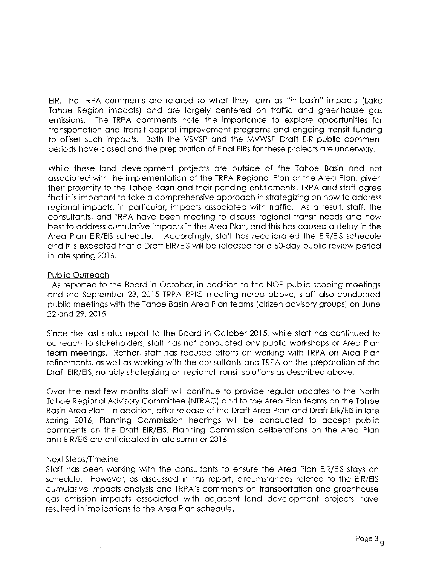EIR. The TRPA comments are related to what they term as "in-basin" impacts (Lake Tahoe Region impacts) and are largely centered on traffic and greenhouse gas emissions. The TRPA comments note the importance to explore opportunities for transportation and transit capital improvement programs and ongoing transit funding to offset such impacts. Both the VSVSP and the MVWSP Draft EIR public comment periods have closed and the preparation of Final EIRs for these projects are underway.

While these land development projects are outside of the Tahoe Basin and not associated with the implementation of the TRPA Regional Plan or the Area Plan. given their proximity to the Tahoe Basin and their pending entitlements, TRPA and staff agree that it is important to take a comprehensive approach in strategizing on how to address regional impacts, in particular, impacts associated with traffic. As a result. staff, the consultants. and TRPA have been meeting to discuss regional transit needs and how best to address cumulative impacts in the Area Plan, and this has caused a delay in the Area Plan EIR/EIS schedule. Accordingly, staff has recalibrated the EIR/EIS schedule and it is expected that a Draft EIR/EIS will be released for a 60-day public review period in late spring 2016.

#### Public Outreach

As reported to the Board in October, in addition to the NOP public scoping meetings and the September 23, 2015 TRPA RPIC meeting noted above, staff also conducted public meetings with the Tahoe Basin Area Plan teams (citizen advisory groups) on June 22 and 29,2015.

Since the last status report to the Board in October 2015, while staff has continued to outreach to stakeholders, staff has not conducted any public workshops or Area Plan team meetings. Rather, staff has focused efforts on working with TRPA on Area Plan refinements, as well as working with the consultants and TRPA on the preparation of the Draft EIR/EIS, notably strategizing on regional transit solutions as described above.

Over the next few months staff will continue to provide regular updates to the North Tahoe Regional Advisory Committee (NTRAC) and to the Area Plan teams on the Tahoe Basin Area Plan. In addition, after release of the Draft Area Plan and Draft EIR/EIS in late spring 2016, Planning Commission hearings will be conducted to accept public comments on the Draft EIR/EIS. Planning Commission deliberations on the Area Plan and EIR/EIS are anticipated in late summer 2016.

#### Next Steps/Timeline

Staff has been working with the consultants to ensure the Area Plan EIR/EIS stays on schedule. However. as discussed in this report, circumstances related to the EIR/EIS cumulative impacts analysis and TRPA's comments on transportation and greenhouse gas emission impacts associated with adjacent land development projects have resulted in implications to the Area Plan schedule.